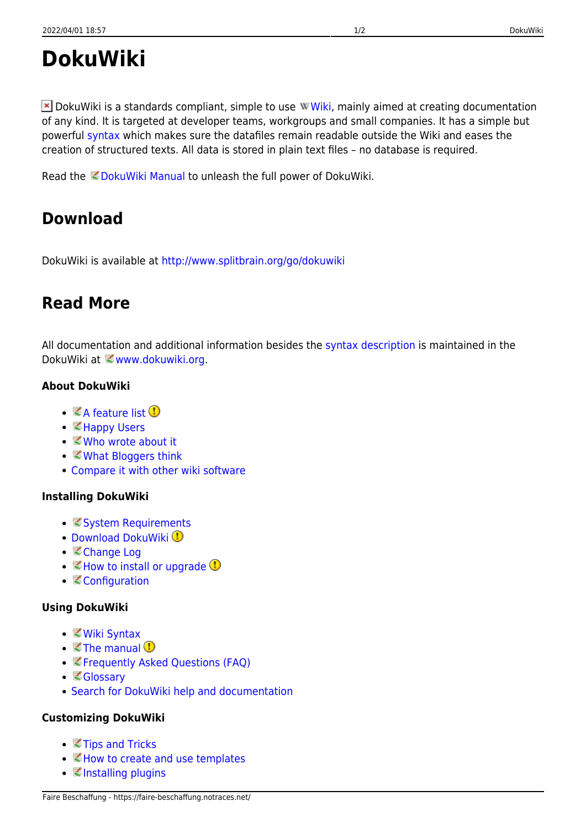# **DokuWiki**

 $\blacktriangleright$  DokuWiki is a standards compliant, simple to use W[Wiki,](https://en.wikipedia.org/wiki/Wiki) mainly aimed at creating documentation of any kind. It is targeted at developer teams, workgroups and small companies. It has a simple but powerful [syntax](https://faire-beschaffung.notraces.net/wiki:syntax) which makes sure the datafiles remain readable outside the Wiki and eases the creation of structured texts. All data is stored in plain text files – no database is required.

Read the *DokuWiki Manual to unleash the full power of DokuWiki*.

### **Download**

DokuWiki is available at<http://www.splitbrain.org/go/dokuwiki>

### **Read More**

All documentation and additional information besides the [syntax description](https://faire-beschaffung.notraces.net/wiki:syntax) is maintained in the DokuWiki at *www.dokuwiki.org.* 

### **About DokuWiki**

- $\bullet$   $\mathbb Z$  [A feature list](https://www.dokuwiki.org/features)  $\mathbb Q$
- ■[Happy Users](https://www.dokuwiki.org/users)
- *©* [Who wrote about it](https://www.dokuwiki.org/press)
- ■[What Bloggers think](https://www.dokuwiki.org/blogroll)
- [Compare it with other wiki software](http://www.wikimatrix.org/show/DokuWiki)

#### **Installing DokuWiki**

- **[System Requirements](https://www.dokuwiki.org/requirements)**
- [Download DokuWiki](http://www.splitbrain.org/go/dokuwiki) <sup>1</sup>
- [Change Log](https://www.dokuwiki.org/changes)
- $\bullet \;$   $\mathbb Z$  [How to install or upgrade](https://www.dokuwiki.org/Install)  $\mathbb D$
- **[Configuration](https://www.dokuwiki.org/config)**

#### **Using DokuWiki**

- *[Wiki Syntax](https://www.dokuwiki.org/syntax)*
- $\cdot$   $\leq$  [The manual](https://www.dokuwiki.org/manual)  $\circled{0}$
- [Frequently Asked Questions \(FAQ\)](https://www.dokuwiki.org/FAQ)
- [Glossary](https://www.dokuwiki.org/glossary)
- [Search for DokuWiki help and documentation](http://search.dokuwiki.org)

#### **Customizing DokuWiki**

- **₹**[Tips and Tricks](https://www.dokuwiki.org/tips)
- ■[How to create and use templates](https://www.dokuwiki.org/Template)
- ■[Installing plugins](https://www.dokuwiki.org/plugins)